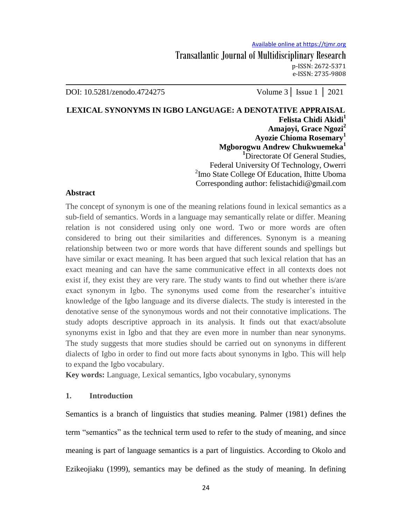DOI: 10.5281/zenodo.4724275 Volume 3│ Issue 1 │ 2021

**LEXICAL SYNONYMS IN IGBO LANGUAGE: A DENOTATIVE APPRAISAL Felista Chidi Akidi<sup>1</sup> Amajoyi, Grace Ngozi<sup>2</sup> Ayozie Chioma Rosemary<sup>1</sup> Mgborogwu Andrew Chukwuemeka<sup>1</sup> <sup>1</sup>**Directorate Of General Studies, Federal University Of Technology, Owerri <sup>2</sup>Imo State College Of Education, Ihitte Uboma Corresponding author: felistachidi@gmail.com

# **Abstract**

The concept of synonym is one of the meaning relations found in lexical semantics as a sub-field of semantics. Words in a language may semantically relate or differ. Meaning relation is not considered using only one word. Two or more words are often considered to bring out their similarities and differences. Synonym is a meaning relationship between two or more words that have different sounds and spellings but have similar or exact meaning. It has been argued that such lexical relation that has an exact meaning and can have the same communicative effect in all contexts does not exist if, they exist they are very rare. The study wants to find out whether there is/are exact synonym in Igbo. The synonyms used come from the researcher's intuitive knowledge of the Igbo language and its diverse dialects. The study is interested in the denotative sense of the synonymous words and not their connotative implications. The study adopts descriptive approach in its analysis. It finds out that exact/absolute synonyms exist in Igbo and that they are even more in number than near synonyms. The study suggests that more studies should be carried out on synonyms in different dialects of Igbo in order to find out more facts about synonyms in Igbo. This will help to expand the Igbo vocabulary.

**Key words:** Language, Lexical semantics, Igbo vocabulary, synonyms

# **1. Introduction**

Semantics is a branch of linguistics that studies meaning. Palmer (1981) defines the term "semantics" as the technical term used to refer to the study of meaning, and since meaning is part of language semantics is a part of linguistics. According to Okolo and Ezikeojiaku (1999), semantics may be defined as the study of meaning. In defining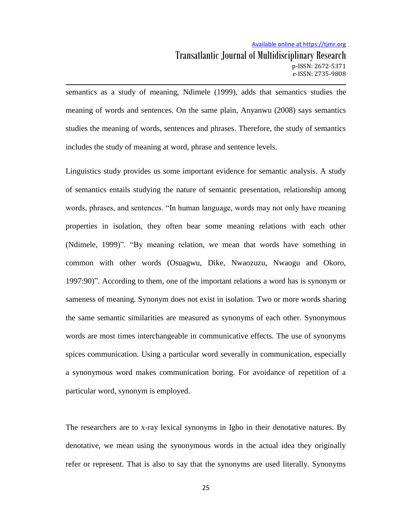#### Available online at https://tjmr.org

semantics as a study of meaning, Ndimele (1999), adds that semantics studies the meaning of words and sentences. On the same plain, Anyanwu (2008) says semantics studies the meaning of words, sentences and phrases. Therefore, the study of semantics includes the study of meaning at word, phrase and sentence levels.

Linguistics study provides us some important evidence for semantic analysis. A study of semantics entails studying the nature of semantic presentation, relationship among words, phrases, and sentences. "In human language, words may not only have meaning properties in isolation, they often bear some meaning relations with each other (Ndimele, 1999)". "By meaning relation, we mean that words have something in common with other words (Osuagwu, Dike, Nwaozuzu, Nwaogu and Okoro, 1997:90)". According to them, one of the important relations a word has is synonym or sameness of meaning. Synonym does not exist in isolation. Two or more words sharing the same semantic similarities are measured as synonyms of each other. Synonymous words are most times interchangeable in communicative effects. The use of synonyms spices communication. Using a particular word severally in communication, especially a synonymous word makes communication boring. For avoidance of repetition of a particular word, synonym is employed.

The researchers are to x-ray lexical synonyms in Igbo in their denotative natures. By denotative, we mean using the synonymous words in the actual idea they originally refer or represent. That is also to say that the synonyms are used literally. Synonyms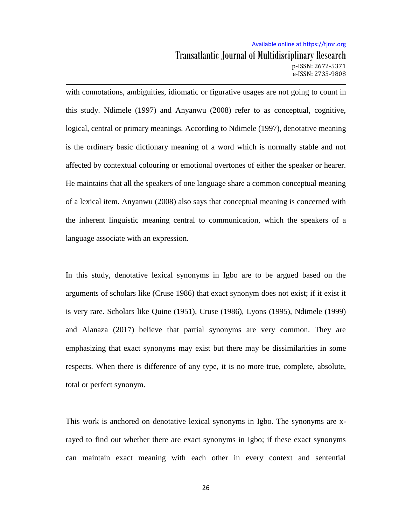# Available online at https://tjmr.org Transatlantic Journal of Multidisciplinary Research p-ISSN: 2672-5371 e-ISSN: 2735-9808

with connotations, ambiguities, idiomatic or figurative usages are not going to count in this study. Ndimele (1997) and Anyanwu (2008) refer to as conceptual, cognitive, logical, central or primary meanings. According to Ndimele (1997), denotative meaning is the ordinary basic dictionary meaning of a word which is normally stable and not affected by contextual colouring or emotional overtones of either the speaker or hearer. He maintains that all the speakers of one language share a common conceptual meaning of a lexical item. Anyanwu (2008) also says that conceptual meaning is concerned with the inherent linguistic meaning central to communication, which the speakers of a language associate with an expression.

In this study, denotative lexical synonyms in Igbo are to be argued based on the arguments of scholars like (Cruse 1986) that exact synonym does not exist; if it exist it is very rare. Scholars like Quine (1951), Cruse (1986), Lyons (1995), Ndimele (1999) and Alanaza (2017) believe that partial synonyms are very common. They are emphasizing that exact synonyms may exist but there may be dissimilarities in some respects. When there is difference of any type, it is no more true, complete, absolute, total or perfect synonym.

This work is anchored on denotative lexical synonyms in Igbo. The synonyms are xrayed to find out whether there are exact synonyms in Igbo; if these exact synonyms can maintain exact meaning with each other in every context and sentential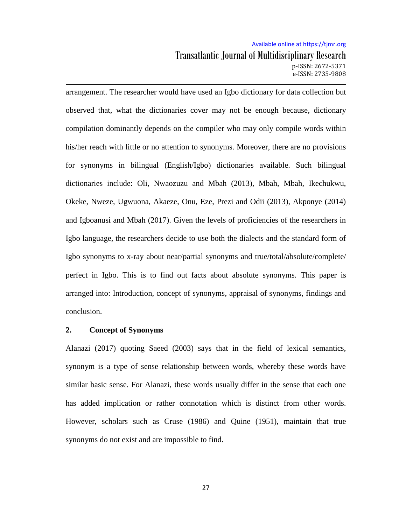# Available online at https://tjmr.org Transatlantic Journal of Multidisciplinary Research p-ISSN: 2672-5371 e-ISSN: 2735-9808

arrangement. The researcher would have used an Igbo dictionary for data collection but observed that, what the dictionaries cover may not be enough because, dictionary compilation dominantly depends on the compiler who may only compile words within his/her reach with little or no attention to synonyms. Moreover, there are no provisions for synonyms in bilingual (English/Igbo) dictionaries available. Such bilingual dictionaries include: Oli, Nwaozuzu and Mbah (2013), Mbah, Mbah, Ikechukwu, Okeke, Nweze, Ugwuona, Akaeze, Onu, Eze, Prezi and Odii (2013), Akponye (2014) and Igboanusi and Mbah (2017). Given the levels of proficiencies of the researchers in Igbo language, the researchers decide to use both the dialects and the standard form of Igbo synonyms to x-ray about near/partial synonyms and true/total/absolute/complete/ perfect in Igbo. This is to find out facts about absolute synonyms. This paper is arranged into: Introduction, concept of synonyms, appraisal of synonyms, findings and conclusion.

#### **2. Concept of Synonyms**

Alanazi (2017) quoting Saeed (2003) says that in the field of lexical semantics, synonym is a type of sense relationship between words, whereby these words have similar basic sense. For Alanazi, these words usually differ in the sense that each one has added implication or rather connotation which is distinct from other words. However, scholars such as Cruse (1986) and Quine (1951), maintain that true synonyms do not exist and are impossible to find.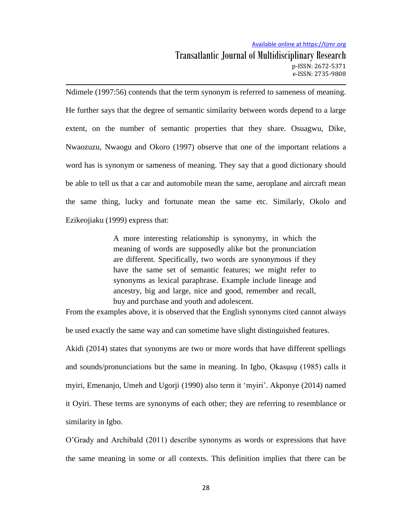Ndimele (1997:56) contends that the term synonym is referred to sameness of meaning. He further says that the degree of semantic similarity between words depend to a large extent, on the number of semantic properties that they share. Osuagwu, Dike, Nwaozuzu, Nwaogu and Okoro (1997) observe that one of the important relations a word has is synonym or sameness of meaning. They say that a good dictionary should be able to tell us that a car and automobile mean the same, aeroplane and aircraft mean the same thing, lucky and fortunate mean the same etc. Similarly, Okolo and Ezikeojiaku (1999) express that:

> A more interesting relationship is synonymy, in which the meaning of words are supposedly alike but the pronunciation are different. Specifically, two words are synonymous if they have the same set of semantic features; we might refer to synonyms as lexical paraphrase. Example include lineage and ancestry, big and large, nice and good, remember and recall, buy and purchase and youth and adolescent.

From the examples above, it is observed that the English synonyms cited cannot always

be used exactly the same way and can sometime have slight distinguished features.

Akidi (2014) states that synonyms are two or more words that have different spellings and sounds/pronunciations but the same in meaning. In Igbo, Qkasusu (1985) calls it myiri, Emenanjo, Umeh and Ugorji (1990) also term it "myiri". Akponye (2014) named it Oyiri. These terms are synonyms of each other; they are referring to resemblance or similarity in Igbo.

 $O'$ Grady and Archibald (2011) describe synonyms as words or expressions that have the same meaning in some or all contexts. This definition implies that there can be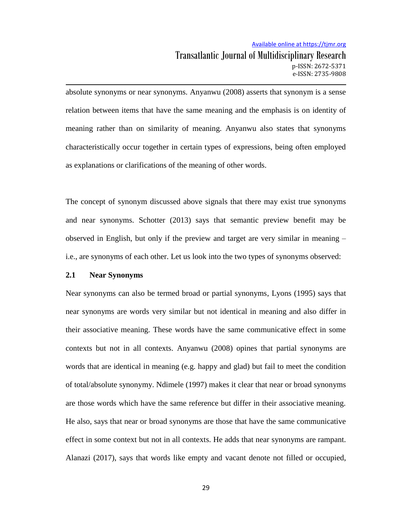absolute synonyms or near synonyms. Anyanwu (2008) asserts that synonym is a sense relation between items that have the same meaning and the emphasis is on identity of meaning rather than on similarity of meaning. Anyanwu also states that synonyms characteristically occur together in certain types of expressions, being often employed as explanations or clarifications of the meaning of other words.

The concept of synonym discussed above signals that there may exist true synonyms and near synonyms. Schotter (2013) says that semantic preview benefit may be observed in English, but only if the preview and target are very similar in meaning – i.e., are synonyms of each other. Let us look into the two types of synonyms observed:

#### **2.1 Near Synonyms**

Near synonyms can also be termed broad or partial synonyms, Lyons (1995) says that near synonyms are words very similar but not identical in meaning and also differ in their associative meaning. These words have the same communicative effect in some contexts but not in all contexts. Anyanwu (2008) opines that partial synonyms are words that are identical in meaning (e.g. happy and glad) but fail to meet the condition of total/absolute synonymy. Ndimele (1997) makes it clear that near or broad synonyms are those words which have the same reference but differ in their associative meaning. He also, says that near or broad synonyms are those that have the same communicative effect in some context but not in all contexts. He adds that near synonyms are rampant. Alanazi (2017), says that words like empty and vacant denote not filled or occupied,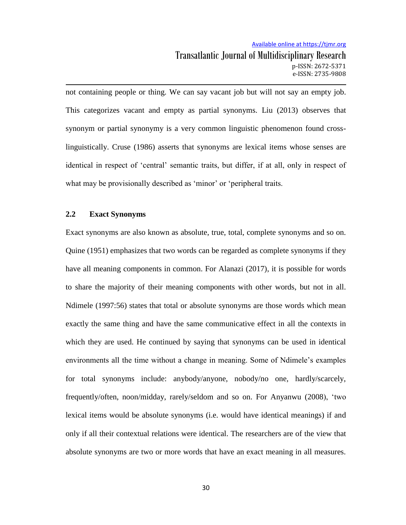# Available online at https://tjmr.org Transatlantic Journal of Multidisciplinary Research p-ISSN: 2672-5371 e-ISSN: 2735-9808

not containing people or thing. We can say vacant job but will not say an empty job. This categorizes vacant and empty as partial synonyms. Liu (2013) observes that synonym or partial synonymy is a very common linguistic phenomenon found crosslinguistically. Cruse (1986) asserts that synonyms are lexical items whose senses are identical in respect of "central" semantic traits, but differ, if at all, only in respect of what may be provisionally described as 'minor' or 'peripheral traits.

#### **2.2 Exact Synonyms**

Exact synonyms are also known as absolute, true, total, complete synonyms and so on. Quine (1951) emphasizes that two words can be regarded as complete synonyms if they have all meaning components in common. For Alanazi (2017), it is possible for words to share the majority of their meaning components with other words, but not in all. Ndimele (1997:56) states that total or absolute synonyms are those words which mean exactly the same thing and have the same communicative effect in all the contexts in which they are used. He continued by saying that synonyms can be used in identical environments all the time without a change in meaning. Some of Ndimele"s examples for total synonyms include: anybody/anyone, nobody/no one, hardly/scarcely, frequently/often, noon/midday, rarely/seldom and so on. For Anyanwu (2008 , "two lexical items would be absolute synonyms (i.e. would have identical meanings) if and only if all their contextual relations were identical. The researchers are of the view that absolute synonyms are two or more words that have an exact meaning in all measures.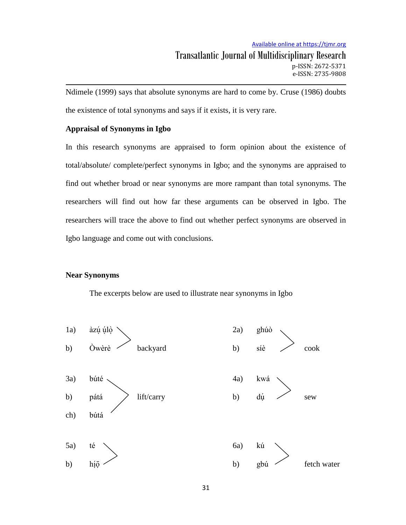Ndimele (1999) says that absolute synonyms are hard to come by. Cruse (1986) doubts the existence of total synonyms and says if it exists, it is very rare.

### **Appraisal of Synonyms in Igbo**

In this research synonyms are appraised to form opinion about the existence of total/absolute/ complete/perfect synonyms in Igbo; and the synonyms are appraised to find out whether broad or near synonyms are more rampant than total synonyms. The researchers will find out how far these arguments can be observed in Igbo. The researchers will trace the above to find out whether perfect synonyms are observed in Igbo language and come out with conclusions.

#### **Near Synonyms**

The excerpts below are used to illustrate near synonyms in Igbo

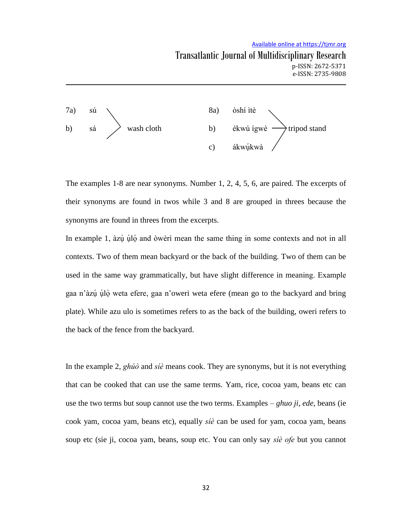### Available online at https://tjmr.org



The examples 1-8 are near synonyms. Number 1, 2, 4, 5, 6, are paired. The excerpts of their synonyms are found in twos while 3 and 8 are grouped in threes because the synonyms are found in threes from the excerpts.

In example 1, àzú úlò and òwèrì mean the same thing in some contexts and not in all contexts. Two of them mean backyard or the back of the building. Two of them can be used in the same way grammatically, but have slight difference in meaning. Example gaa n'àzú úlò weta efere, gaa n'oweri weta efere (mean go to the backyard and bring plate). While azu ulo is sometimes refers to as the back of the building, oweri refers to the back of the fence from the backyard.

In the example 2,  $gh\acute{u}\acute{o}$  and  $si\acute{e}$  means cook. They are synonyms, but it is not everything that can be cooked that can use the same terms. Yam, rice, cocoa yam, beans etc can use the two terms but soup cannot use the two terms. Examples – *ghuo ji, ede*, beans (ie cook yam, cocoa yam, beans etc), equally  $s\acute{i}e$  can be used for yam, cocoa yam, beans soup etc (sie ji, cocoa yam, beans, soup etc. You can only say sie ofe but you cannot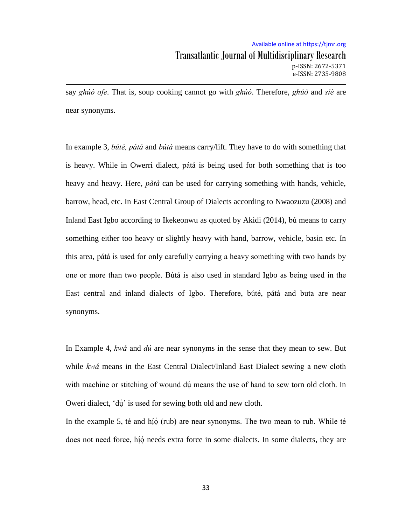say ghúò ofe. That is, soup cooking cannot go with ghúò. Therefore, ghúò and síè are near synonyms.

In example 3, búté, pátá and bútá means carry/lift. They have to do with something that is heavy. While in Owerri dialect, pátá is being used for both something that is too heavy and heavy. Here, *pata* can be used for carrying something with hands, vehicle, barrow, head, etc. In East Central Group of Dialects according to Nwaozuzu (2008) and Inland East Igbo according to Ikekeonwu as quoted by Akidi (2014), bu means to carry something either too heavy or slightly heavy with hand, barrow, vehicle, basin etc. In this area, pátá is used for only carefully carrying a heavy something with two hands by one or more than two people. Bútá is also used in standard Igbo as being used in the East central and inland dialects of Igbo. Therefore, búté, pátá and buta are near synonyms.

In Example 4,  $kw\acute{a}$  and  $d\acute{u}$  are near synonyms in the sense that they mean to sew. But while kwa means in the East Central Dialect/Inland East Dialect sewing a new cloth with machine or stitching of wound du means the use of hand to sew torn old cloth. In Oweri dialect, 'dú' is used for sewing both old and new cloth.

In the example 5, té and hío (rub) are near synonyms. The two mean to rub. While té does not need force, hío needs extra force in some dialects. In some dialects, they are  $\blacksquare$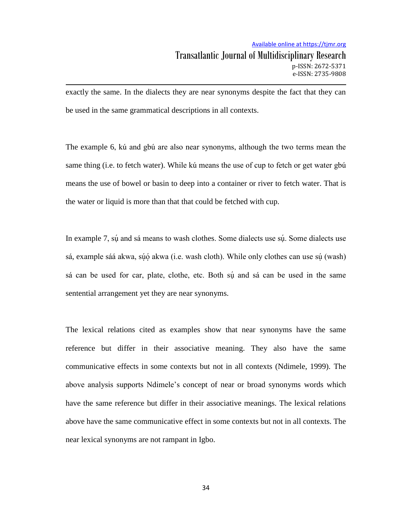exactly the same. In the dialects they are near synonyms despite the fact that they can be used in the same grammatical descriptions in all contexts.

The example 6, kú and gbú are also near synonyms, although the two terms mean the same thing (i.e. to fetch water). While kú means the use of cup to fetch or get water gbú means the use of bowel or basin to deep into a container or river to fetch water. That is the water or liquid is more than that that could be fetched with cup.

In example 7, sú and sá means to wash clothes. Some dialects use sú. Some dialects use L sá, example sáá akwa, súó akwa (i.e. wash cloth). While only clothes can use sú (wash) sá can be used for car, plate, clothe, etc. Both sú and sá can be used in the same sentential arrangement yet they are near synonyms.

The lexical relations cited as examples show that near synonyms have the same reference but differ in their associative meaning. They also have the same communicative effects in some contexts but not in all contexts (Ndimele, 1999). The above analysis supports Ndimele"s concept of near or broad synonyms words which have the same reference but differ in their associative meanings. The lexical relations above have the same communicative effect in some contexts but not in all contexts. The near lexical synonyms are not rampant in Igbo.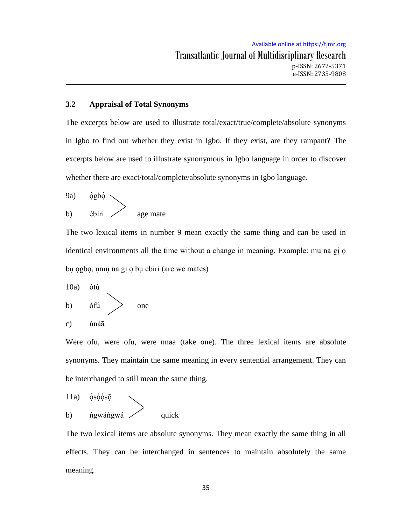# **3.2 Appraisal of Total Synonyms**

The excerpts below are used to illustrate total/exact/true/complete/absolute synonyms in Igbo to find out whether they exist in Igbo. If they exist, are they rampant? The excerpts below are used to illustrate synonymous in Igbo language in order to discover whether there are exact/total/complete/absolute synonyms in Igbo language.

(9a)

\n
$$
\begin{array}{c}\n\text{ògbó} \\
\text{b)} \\
\text{ébírí}\n\end{array}\n\qquad \qquad \text{age mate}
$$

The two lexical items in number 9 mean exactly the same thing and can be used in identical environments all the time without a change in meaning. Example: mu na gi o bu ogbo, umu na gi o bu ebiri (are we mates)

10a) t b) f one c) n

Were ofu, were ofu, were nnaa (take one). The three lexical items are absolute synonyms. They maintain the same meaning in every sentential arrangement. They can be interchanged to still mean the same thing.

11a) o s o o s o b) gw gw quick

The two lexical items are absolute synonyms. They mean exactly the same thing in all effects. They can be interchanged in sentences to maintain absolutely the same meaning.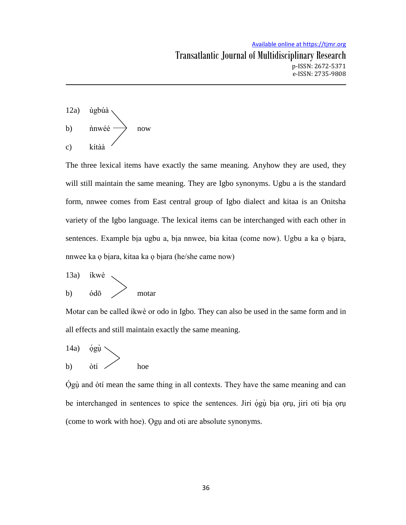

The three lexical items have exactly the same meaning. Anyhow they are used, they will still maintain the same meaning. They are Igbo synonyms. Ugbu a is the standard form, nnwee comes from East central group of Igbo dialect and kitaa is an Onitsha variety of the Igbo language. The lexical items can be interchanged with each other in sentences. Example bia ugbu a, bia nnwee, bia kitaa (come now). Ugbu a ka o biara, nnwee ka o biara, kitaa ka o biara (he/she came now)

13a) 
$$
ikw\dot{e}
$$
  
b)  $\dot{o}d\bar{o}$   $\longrightarrow$  motar

Motar can be called ikwe or odo in Igbo. They can also be used in the same form and in all effects and still maintain exactly the same meaning.

$$
\left.\begin{array}{cc}\n14a) & \text{ógi} \\
b) & \text{òtí}\n\end{array}\right\}
$$
 hoe

Ógù and òtí mean the same thing in all contexts. They have the same meaning and can be interchanged in sentences to spice the sentences. Jiri ógù bia oru, jiri oti bia oru (come to work with hoe). Ogu and oti are absolute synonyms.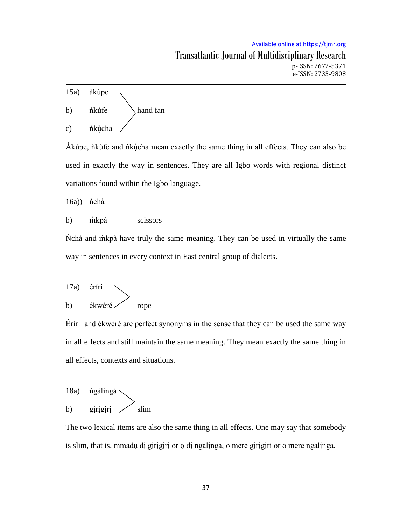

Akupe, nkut fe and nku cha mean exactly the same thing in all effects. They can also be used in exactly the way in sentences. They are all Igbo words with regional distinct variations found within the Igbo language.

 $16a)$   $\hbox{hchà}$ 

b) m kp a scissors

Nchà and m kp à have truly the same meaning. They can be used in virtually the same way in sentences in every context in East central group of dialects.

17a) érírí  
b) ékwéré 
$$
\longrightarrow
$$
 rope

Erif and ékwéré are perfect synonyms in the sense that they can be used the same way in all effects and still maintain the same meaning. They mean exactly the same thing in all effects, contexts and situations.



The two lexical items are also the same thing in all effects. One may say that somebody is slim, that is, mmadu di girigiri or o di ngalinga, o mere girigiri or o mere ngalinga.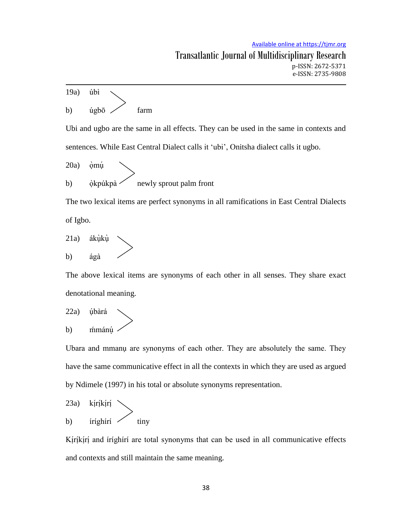19a) úbì b)  $\acute{u}$ gbo  $\angle$  farm Ubi and ugbo are the same in all effects. They can be used in the same in contexts and sentences. While East Central Dialect calls it "ubi", Onitsha dialect calls it ugbo.  $20a$ òmú b) okpúkpa $\sim$  newly sprout palm front The two lexical items are perfect synonyms in all ramifications in East Central Dialects of Igbo. 21a) áku ku

The above lexical items are synonyms of each other in all senses. They share exact denotational meaning.

22a) úbàrá b) mímánu

b) ágà

Ubara and mmanu are synonyms of each other. They are absolutely the same. They have the same communicative effect in all the contexts in which they are used as argued by Ndimele (1997) in his total or absolute synonyms representation.

(23a) 
$$
k
$$
iríkírí

\n(b)  $k$ iríghírí

\n(c)  $k$ iny

Kirikiri and irighiri are total synonyms that can be used in all communicative effects  $\mathbf{I}$  $\mathbf{I}$ and contexts and still maintain the same meaning.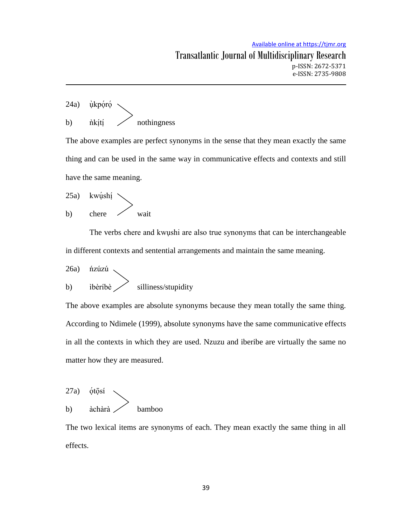(24a) 
$$
\dot{\mu}
$$
kpóró

\n(b)  $\dot{\mu}$ kítí

\n(c)  $\dot{\mu}$  with images

The above examples are perfect synonyms in the sense that they mean exactly the same thing and can be used in the same way in communicative effects and contexts and still have the same meaning.

25a) kwu<mark>́sh</mark>i b) chere wait

The verbs chere and kwushi are also true synonyms that can be interchangeable in different contexts and sentential arrangements and maintain the same meaning.

26a) ńzúzú b) ibèribè / silliness/stupidity

The above examples are absolute synonyms because they mean totally the same thing. According to Ndimele (1999), absolute synonyms have the same communicative effects in all the contexts in which they are used. Nzuzu and iberibe are virtually the same no matter how they are measured.

$$
27a) \quad \text{\'etōsí} \\ b) \qquad \text{àchàrà} \\
$$

The two lexical items are synonyms of each. They mean exactly the same thing in all effects.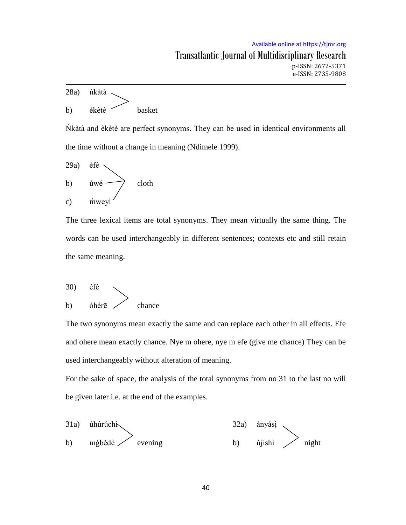

Nk at and ekete are perfect synonyms. They can be used in identical environments all the time without a change in meaning (Ndimele 1999).

29a) 
$$
\text{èfè}
$$
  
b)  $\text{ùwé}$   $\text{cloth}$   
c)  $\text{ñweyi}$ 

The three lexical items are total synonyms. They mean virtually the same thing. The words can be used interchangeably in different sentences; contexts etc and still retain the same meaning.

$$
\begin{array}{c}\n30) & \text{éfè} \\
b) & \text{óhérē} \n\end{array}\n\right\} \quad \text{chance}
$$

The two synonyms mean exactly the same and can replace each other in all effects. Efe and ohere mean exactly chance. Nye m ohere, nye m efe (give me chance) They can be used interchangeably without alteration of meaning.

For the sake of space, the analysis of the total synonyms from no 31 to the last no will be given later i.e. at the end of the examples.

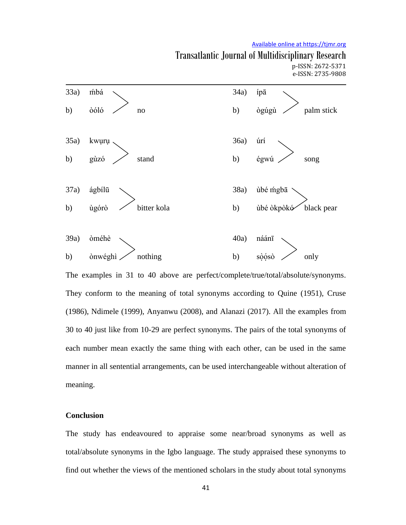#### Available online at https://tjmr.org

### Transatlantic Journal of Multidisciplinary Research p-ISSN: 2672-5371 e-ISSN: 2735-9808



The examples in 31 to 40 above are perfect/complete/true/total/absolute/synonyms. They conform to the meaning of total synonyms according to Quine (1951), Cruse (1986), Ndimele (1999), Anyanwu (2008), and Alanazi (2017). All the examples from 30 to 40 just like from 10-29 are perfect synonyms. The pairs of the total synonyms of each number mean exactly the same thing with each other, can be used in the same manner in all sentential arrangements, can be used interchangeable without alteration of meaning.

# **Conclusion**

The study has endeavoured to appraise some near/broad synonyms as well as total/absolute synonyms in the Igbo language. The study appraised these synonyms to find out whether the views of the mentioned scholars in the study about total synonyms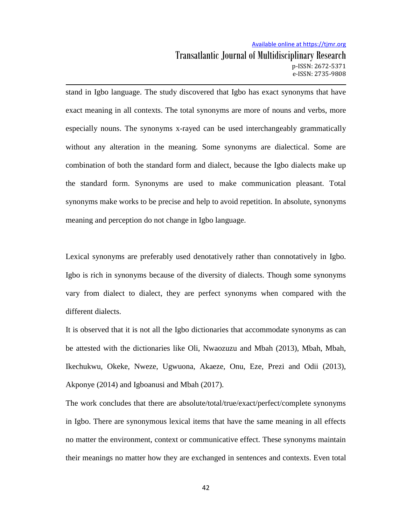# Available online at https://tjmr.org Transatlantic Journal of Multidisciplinary Research p-ISSN: 2672-5371 e-ISSN: 2735-9808

stand in Igbo language. The study discovered that Igbo has exact synonyms that have exact meaning in all contexts. The total synonyms are more of nouns and verbs, more especially nouns. The synonyms x-rayed can be used interchangeably grammatically without any alteration in the meaning. Some synonyms are dialectical. Some are combination of both the standard form and dialect, because the Igbo dialects make up the standard form. Synonyms are used to make communication pleasant. Total synonyms make works to be precise and help to avoid repetition. In absolute, synonyms meaning and perception do not change in Igbo language.

Lexical synonyms are preferably used denotatively rather than connotatively in Igbo. Igbo is rich in synonyms because of the diversity of dialects. Though some synonyms vary from dialect to dialect, they are perfect synonyms when compared with the different dialects.

It is observed that it is not all the Igbo dictionaries that accommodate synonyms as can be attested with the dictionaries like Oli, Nwaozuzu and Mbah (2013), Mbah, Mbah, Ikechukwu, Okeke, Nweze, Ugwuona, Akaeze, Onu, Eze, Prezi and Odii (2013), Akponye (2014) and Igboanusi and Mbah (2017).

The work concludes that there are absolute/total/true/exact/perfect/complete synonyms in Igbo. There are synonymous lexical items that have the same meaning in all effects no matter the environment, context or communicative effect. These synonyms maintain their meanings no matter how they are exchanged in sentences and contexts. Even total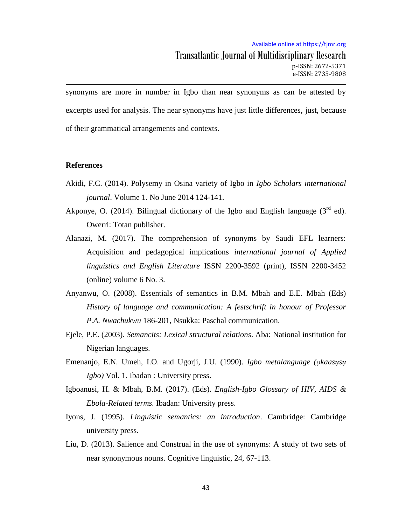synonyms are more in number in Igbo than near synonyms as can be attested by excerpts used for analysis. The near synonyms have just little differences, just, because of their grammatical arrangements and contexts.

#### **References**

- Akidi, F.C. (2014). Polysemy in Osina variety of Igbo in *Igbo Scholars international journal*. Volume 1. No June 2014 124-141.
- Akponye, O. (2014). Bilingual dictionary of the Igbo and English language ( $3<sup>rd</sup>$  ed). Owerri: Totan publisher.
- Alanazi, M. (2017). The comprehension of synonyms by Saudi EFL learners: Acquisition and pedagogical implications *international journal of Applied linguistics and English Literature* ISSN 2200-3592 (print), ISSN 2200-3452 (online) volume 6 No. 3.
- Anyanwu, O. (2008). Essentials of semantics in B.M. Mbah and E.E. Mbah (Eds) *History of language and communication: A festschrift in honour of Professor P.A. Nwachukwu* 186-201, Nsukka: Paschal communication.
- Ejele, P.E. (2003). *Semancits: Lexical structural relations*. Aba: National institution for Nigerian languages.
- Emenanjo, E.N. Umeh, I.O. and Ugorji, J.U. (1990). *Igbo metalanguage (okaasusu Igbo)* Vol. 1. Ibadan : University press.
- Igboanusi, H. & Mbah, B.M. (2017). (Eds). *English-Igbo Glossary of HIV, AIDS & Ebola-Related terms.* Ibadan: University press.
- Iyons, J. (1995). *Linguistic semantics: an introduction*. Cambridge: Cambridge university press.
- Liu, D. (2013). Salience and Construal in the use of synonyms: A study of two sets of near synonymous nouns. Cognitive linguistic, 24, 67-113.